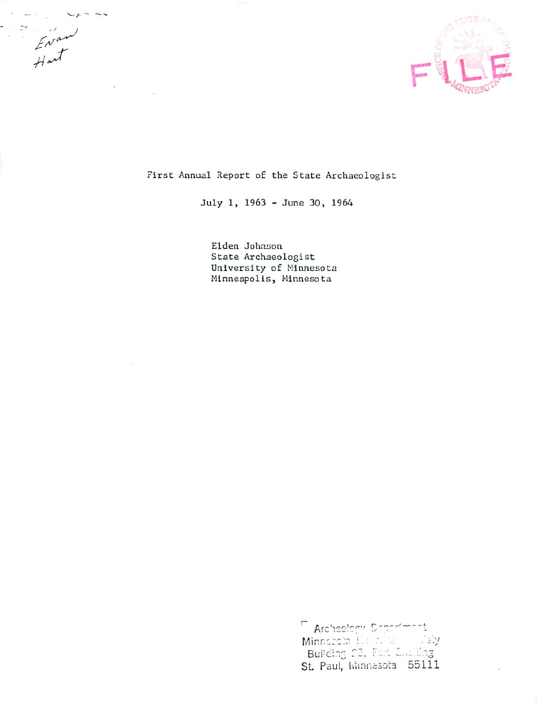

First Annual Report of the State Archaeologist

 $- - -$ 

 $E_{\text{mean}}$ 

July 1, 1963 - June 30, 1964

Elden Johnson State Archaeologist University of Minnesota Minneapolis, Minnesota

> F Archeology Depertment Minnecola Hambard  $\frac{1}{2}$  31  $\frac{1}{2}$ Building 23, Fart Challing St. Paul, Winnesota 55111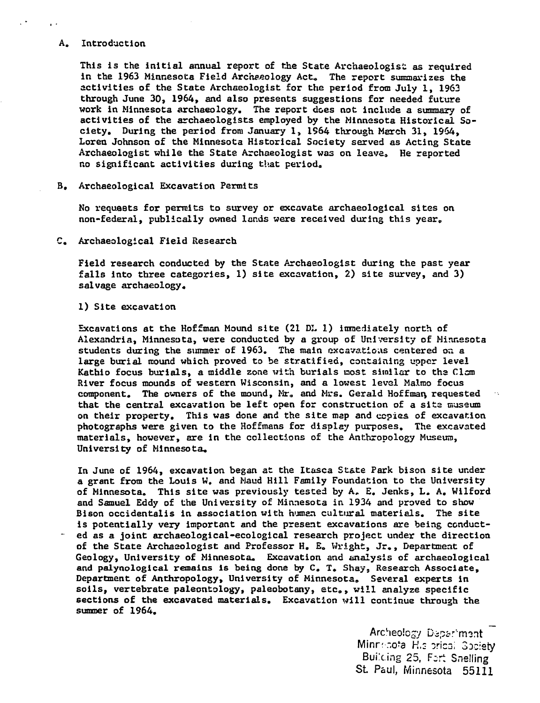## A. Introduction

This is the initial annual report of the State Archaeologist as required in the 1963 Minnesota Field Archaeology Act. The report summarizes the activities of the State Archaeologist for the period from July 1, 1963 through June 30, 1964, and also presents suggestions for needed future work in Minnesota archaeology. The report does not include a summary of activities of the archaeologists employed by the Minnesota Historical So ciety. During the period from January 1, 1964 through March 31, 1964, Loren Johnson of the Minnesota Historical Society served as Acting State Archaeologist while the State Archaeologist was on leave. He reported no significant activities during that period,,

B. Archaeological Excavation Permits

No requests for permits to survey or excavate archaeological sites on non-federal, publically owned lands were received during this year,

C. Archaeological Field Research

Field research conducted by the State Archaeologist during the past year falls into three categories, 1) site excavation, 2) site survey, and 3) salvage archaeology.

1) Site excavation

Excavations at the Hoffman Mound site (21 DL 1) immediately north of Alexandria, Minnesota, were conducted by group of University of Minnesota students during the summer of 1963. The main excavations centered on a large burial mound which proved to be stratified, containing upper level Kathio focus burials, a middle zone with burials most similar to the Clam River focus mounds of western Wisconsin, and a lowest level Malmo focus component. The owners of the mound, Mr. and Mrs. Gerald Hoffman, requested that the central excavation be left open for construction of a site museum on their property. This was done and the site map and copies of excavation photographs were given to the Hoffmans for display purposes. The excavated materials, however, are in the collections of the Anthropology Museum, University of Minnesota,

In June of 1964, excavation began at the Itasca State Park bison site under grant from the Louis W. and Maud Hill Family Foundation to the University of Minnesota. This site was previously tested by A, E. Jenks, L. A. Wilford and Samuel Eddy of the University of Minnesota in 1934 and proved to show Bison occidentalis in association with human cultural materials. The site is potentially very important and the present excavations are being conduct ed as joint archaeological-ecological research project under the direction of the State Archaeologist and Professor H. E. Wright, Jr., Department of Geology, University of Minnesota. Excavation and analysis of archaeological and palynological remains is being done by C. T. Shay, Research Associate, Department of Anthropology, University of Minnesota. Several experts in soils, vertebrate paleontology, paleobotany, etc, will analyze specific sections of the excavated materials. Excavation will continue through the summer of 1964.

> Archeology Department Minrr-potal H.s orical Society Building 25, Fart Snelling SL Paul, Minnesota 55111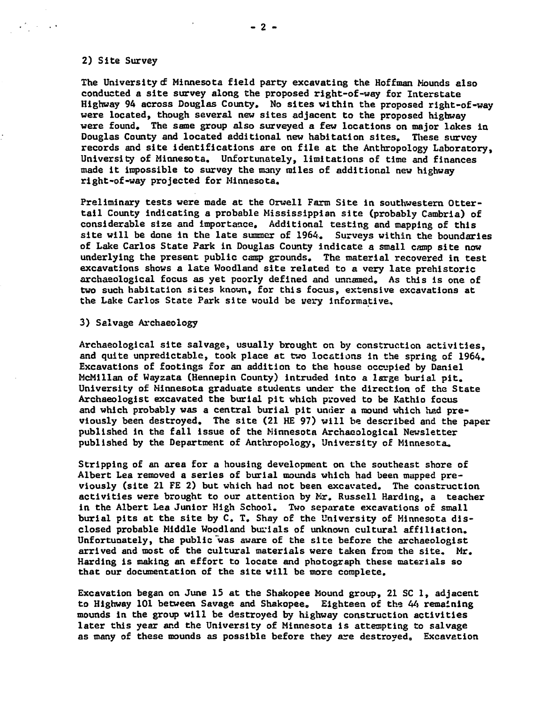## 2) Site Survey

 $\mathcal{O}(\log n)$ 

The University of Minnesota field party excavating the Hoffman Mounds also conducted a site survey along the proposed right-of-way for Interstate Highway 94 across Douglas County. No sites within the proposed right-of-way were located, though several new sites adjacent to the proposed highway were found. The same group also surveyed a few locations on major lakes in Douglas County and located additional new habitation sites. These survey records and site identifications are on file at the Anthropology Laboratory, University of Minnesota. Unfortunately, limitations of time and finances made it impossible to survey the many miles of additional new highway right-of-way projected for Minnesota.

Preliminary tests were made at the Orwell Farm Site in southwestern Ottertail County indicating a probable Mississippian site (probably Cambria) of considerable size and importance. Additional testing and mapping of this site will be done in the late summer of 1964. Surveys within the boundaries of Lake Carlos State Park in Douglas County indicate a small camp site now underlying the present public camp grounds. The material recovered in test excavations shows a late Woodland site related to a very late prehistoric archaeological focus as yet poorly defined and unnamed. As this is one of two such habitation sites known, for this focus, extensive excavations at the Lake Carlos State Park site would be very informative,

## 3) Salvage Archaeology

Archaeological site salvage, usually brought on by construction activities, and quite unpredictable, took place at two locations in the spring of 1964. Excavations of footings for an addition to the house occupied by Daniel McMillan of Wayzata (Hennepin County) intruded into a large burial pit. University of Minnesota graduate students under the direction of the State Archaeologist excavated the burial pit which proved to be Kathio focus and which probably was a central burial pit under a mound which had previously been destroyed. The site (21 HE 97) will be described and the paper published in the fall issue of the Minnesota Archaeological Newsletter published by the Department of Anthropology, University of Minnesota\*

Stripping of an area for a housing development on the southeast shore of Albert Lea removed a series of burial mounds which had been mapped previously (site 21 FE 2) but which had not been excavated. The construction activities were brought to our attention by  $Mr$ . Russell Harding, a teacher in the Albert Lea Junior High School. Two separate excavations of small burial pits at the site by C. T. Shay of the University of Minnesota dis closed probable Middle Woodland burials of unknown cultural affiliation. Unfortunately, the public was aware of the site before the archaeologist arrived and most of the cultural materials were taken from the site. Mr. Harding is making an effort to locate and photograph these materials so that our documentation of the site will be more complete.

Excavation began on June 15 at the Shakopee Mound group, 21 SC 1, adjacent to Highway 101 between Savage and Shakopee. Eighteen of the  $44$  remaining mounds in the group will be destroyed by highway construction activities later this year and the University of Minnesota is attempting to salvage as many of these mounds as possible before they are destroyed. Excavation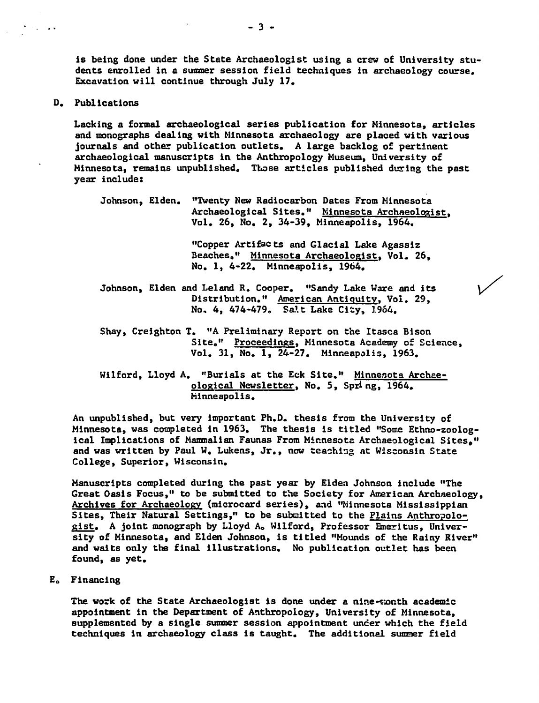is being done under the State Archaeologist using a crew of University students enrolled in a summer session field techniques in archaeology course. Excavation will continue through July 17.

D. Publications

 $\mathcal{L}_{\mathbf{A}}$  , and  $\mathcal{L}_{\mathbf{A}}$ 

Lacking a formal archaeological series publication for Minnesota, articles and monographs dealing with Minnesota archaeology are placed with various journals and other publication outlets. A large backlog of pertinent archaeological manuscripts in the Anthropology Museum, University of Minnesota, remains unpublished. Those articles published during the past year include:

Johnson, Elden. "Twenty New Radiocarbon Dates From Minnesota Archaeological Sites." Minnesota Archaeologist. Vol. 26, No. 2, 34-39, Minneapolis, 1964.

> "Copper Artifacts and Glacial Lake Agassiz Beaches." Minnesota Archaeologist, Vol. 26, No. 1, 4-22. Minneapolis, 1964.

- Johnson, Elden and Leiand R. Cooper. "Sandy Lake Ware and its Distribution." American Antiquity. Vol. 29, No. 4, 474-479. Salt Lake City, 1964.
- Shay, Creighton T. "A Preliminary Report on the Itasca Bison Site." Proceedings, Minnesota Academy of Science, Vol. 31, No. 1, 24-27. Minneapolis, 1963.
- Wilford, Lloyd A. "Burials at the Eck Site." Minnesota Archaeological Newsletter. No. 5, Spring, 1964. Minneapolis.

An unpublished, but very Important Ph.D. thesis from the University of Minnesota, was completed in 1963. The thesis is titled "Some Ethno-zoological Implications of Mammalian Faunas From Minnesota Archaeological Sites," and was written by Paul W. Lukens, Jr., now teaching at Wisconsin State College, Superior, Wisconsin.

Manuscripts completed during the past year by Elden Johnson include "The Great Oasis Focus," to be submitted to the Society for American Archaeology, Archives for Archaeology (microcard series), and "Minnesota Mississippian Sites, Their Natural Settings," to be submitted to the Plains Anthropologist. A joint monograph by Lloyd A. Wilford, Professor Emeritus, University of Minnesota, and Elden Johnson, is titled "Mounds of the Rainy River" and waits only the final illustrations. No publication outlet has been found, as yet.

Eo Financing

The work of the State Archaeologist is done under a nine-wonth academic appointment in the Department of Anthropology, University of Minnesota, supplemented by single summer session appointment under which the field techniques in archaeology class is taught. The additional sunner field